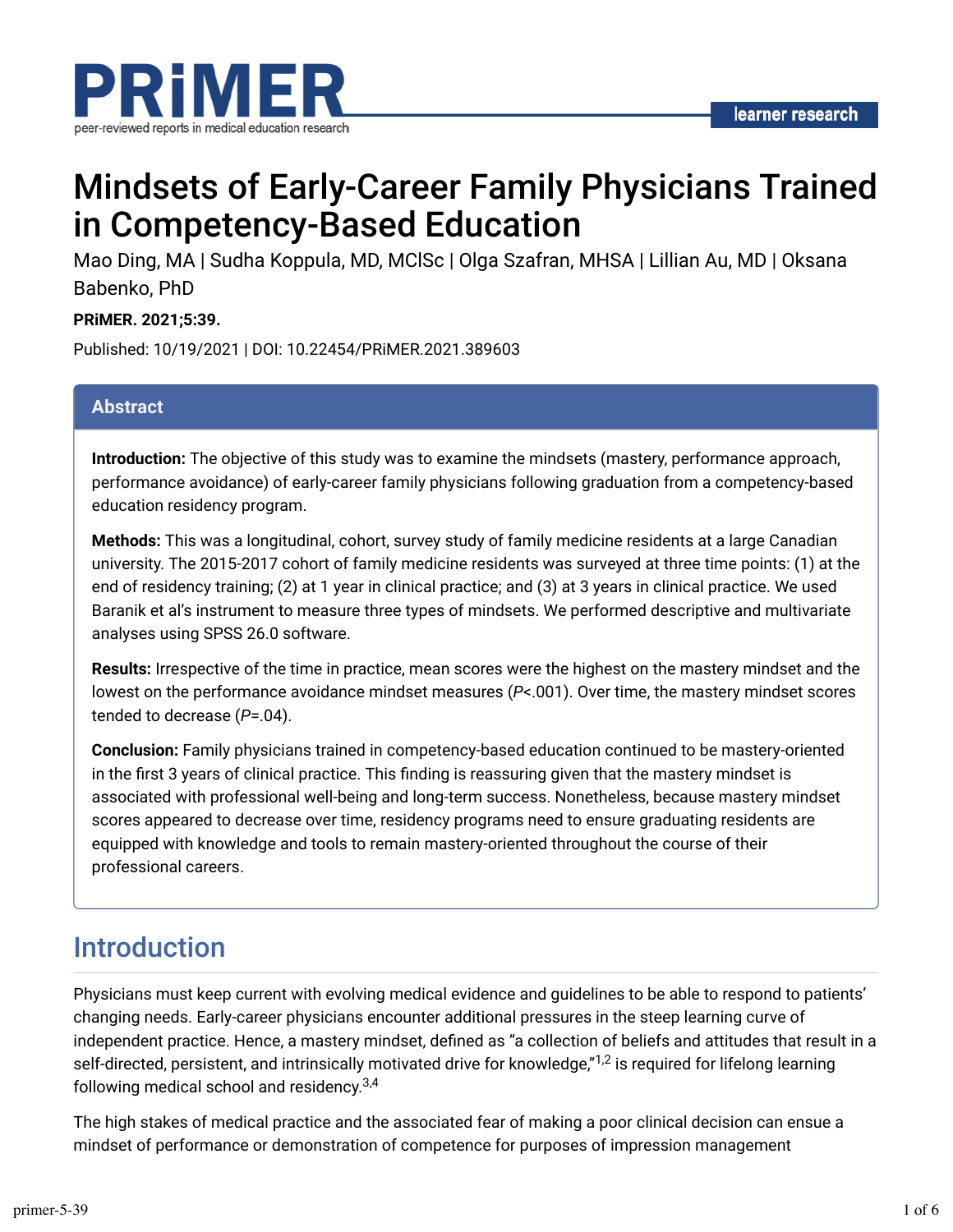

# Mindsets of Early-Career Family Physicians Trained in Competency-Based Education

Mao Ding, MA | Sudha Koppula, MD, MClSc | Olga Szafran, MHSA | Lillian Au, MD | Oksana Babenko, PhD

#### **PRiMER. 2021;5:39.**

Published: 10/19/2021 | DOI: 10.22454/PRiMER.2021.389603

#### **Abstract**

**Introduction:** The objective of this study was to examine the mindsets (mastery, performance approach, performance avoidance) of early-career family physicians following graduation from a competency-based education residency program.

**Methods:** This was a longitudinal, cohort, survey study of family medicine residents at a large Canadian university. The 2015-2017 cohort of family medicine residents was surveyed at three time points: (1) at the end of residency training; (2) at 1 year in clinical practice; and (3) at 3 years in clinical practice. We used Baranik et al's instrument to measure three types of mindsets. We performed descriptive and multivariate analyses using SPSS 26.0 software.

**Results:** Irrespective of the time in practice, mean scores were the highest on the mastery mindset and the lowest on the performance avoidance mindset measures (*P*<.001). Over time, the mastery mindset scores tended to decrease (*P*=.04).

**Conclusion:** Family physicians trained in competency-based education continued to be mastery-oriented in the first 3 years of clinical practice. This finding is reassuring given that the mastery mindset is associated with professional well-being and long-term success. Nonetheless, because mastery mindset scores appeared to decrease over time, residency programs need to ensure graduating residents are equipped with knowledge and tools to remain mastery-oriented throughout the course of their professional careers.

### Introduction

Physicians must keep current with evolving medical evidence and guidelines to be able to respond to patients' changing needs. Early-career physicians encounter additional pressures in the steep learning curve of independent practice. Hence, a mastery mindset, defined as "a collection of beliefs and attitudes that result in a self-directed, persistent, and intrinsically motivated drive for knowledge,"<sup>1,2</sup> is required for lifelong learning following medical school and residency.<sup>3,4</sup>

The high stakes of medical practice and the associated fear of making a poor clinical decision can ensue a mindset of performance or demonstration of competence for purposes of impression management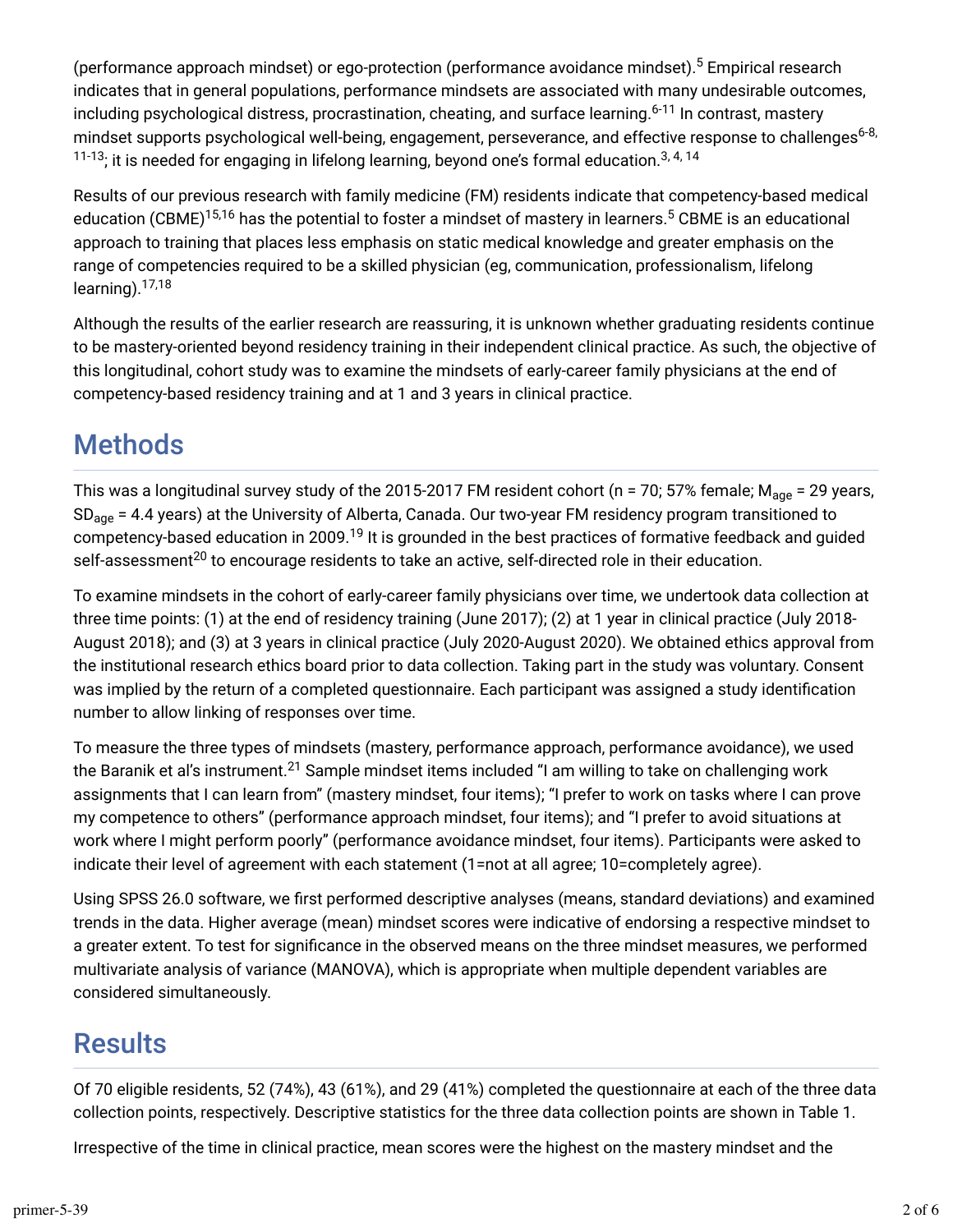(performance approach mindset) or ego-protection (performance avoidance mindset).<sup>5</sup> Empirical research indicates that in general populations, performance mindsets are associated with many undesirable outcomes, including psychological distress, procrastination, cheating, and surface learning.<sup>6-11</sup> In contrast, mastery mindset supports psychological well-being, engagement, perseverance, and effective response to challenges<sup>6-8,</sup>  $^{11\text{-}13}$ ; it is needed for engaging in lifelong learning, beyond one's formal education. $^{3,\,4,\,14}$ 

Results of our previous research with family medicine (FM) residents indicate that competency-based medical education (CBME)<sup>15,16</sup> has the potential to foster a mindset of mastery in learners.<sup>5</sup> CBME is an educational approach to training that places less emphasis on static medical knowledge and greater emphasis on the range of competencies required to be a skilled physician (eg, communication, professionalism, lifelong learning).<sup>17,18</sup>

Although the results of the earlier research are reassuring, it is unknown whether graduating residents continue to be mastery-oriented beyond residency training in their independent clinical practice. As such, the objective of this longitudinal, cohort study was to examine the mindsets of early-career family physicians at the end of competency-based residency training and at 1 and 3 years in clinical practice.

# Methods

This was a longitudinal survey study of the 2015-2017 FM resident cohort (n = 70; 57% female; M<sub>age</sub> = 29 years, SD<sub>age</sub> = 4.4 years) at the University of Alberta, Canada. Our two-year FM residency program transitioned to competency-based education in 2009.<sup>19</sup> It is grounded in the best practices of formative feedback and guided self-assessment<sup>20</sup> to encourage residents to take an active, self-directed role in their education.

To examine mindsets in the cohort of early-career family physicians over time, we undertook data collection at three time points: (1) at the end of residency training (June 2017); (2) at 1 year in clinical practice (July 2018- August 2018); and (3) at 3 years in clinical practice (July 2020-August 2020). We obtained ethics approval from the institutional research ethics board prior to data collection. Taking part in the study was voluntary. Consent was implied by the return of a completed questionnaire. Each participant was assigned a study identification number to allow linking of responses over time.

To measure the three types of mindsets (mastery, performance approach, performance avoidance), we used the Baranik et al's instrument.<sup>21</sup> Sample mindset items included "I am willing to take on challenging work assignments that I can learn from" (mastery mindset, four items); "I prefer to work on tasks where I can prove my competence to others" (performance approach mindset, four items); and "I prefer to avoid situations at work where I might perform poorly" (performance avoidance mindset, four items). Participants were asked to indicate their level of agreement with each statement (1=not at all agree; 10=completely agree).

Using SPSS 26.0 software, we first performed descriptive analyses (means, standard deviations) and examined trends in the data. Higher average (mean) mindset scores were indicative of endorsing a respective mindset to a greater extent. To test for significance in the observed means on the three mindset measures, we performed multivariate analysis of variance (MANOVA), which is appropriate when multiple dependent variables are considered simultaneously.

# **Results**

Of 70 eligible residents, 52 (74%), 43 (61%), and 29 (41%) completed the questionnaire at each of the three data collection points, respectively. Descriptive statistics for the three data collection points are shown in Table 1.

Irrespective of the time in clinical practice, mean scores were the highest on the mastery mindset and the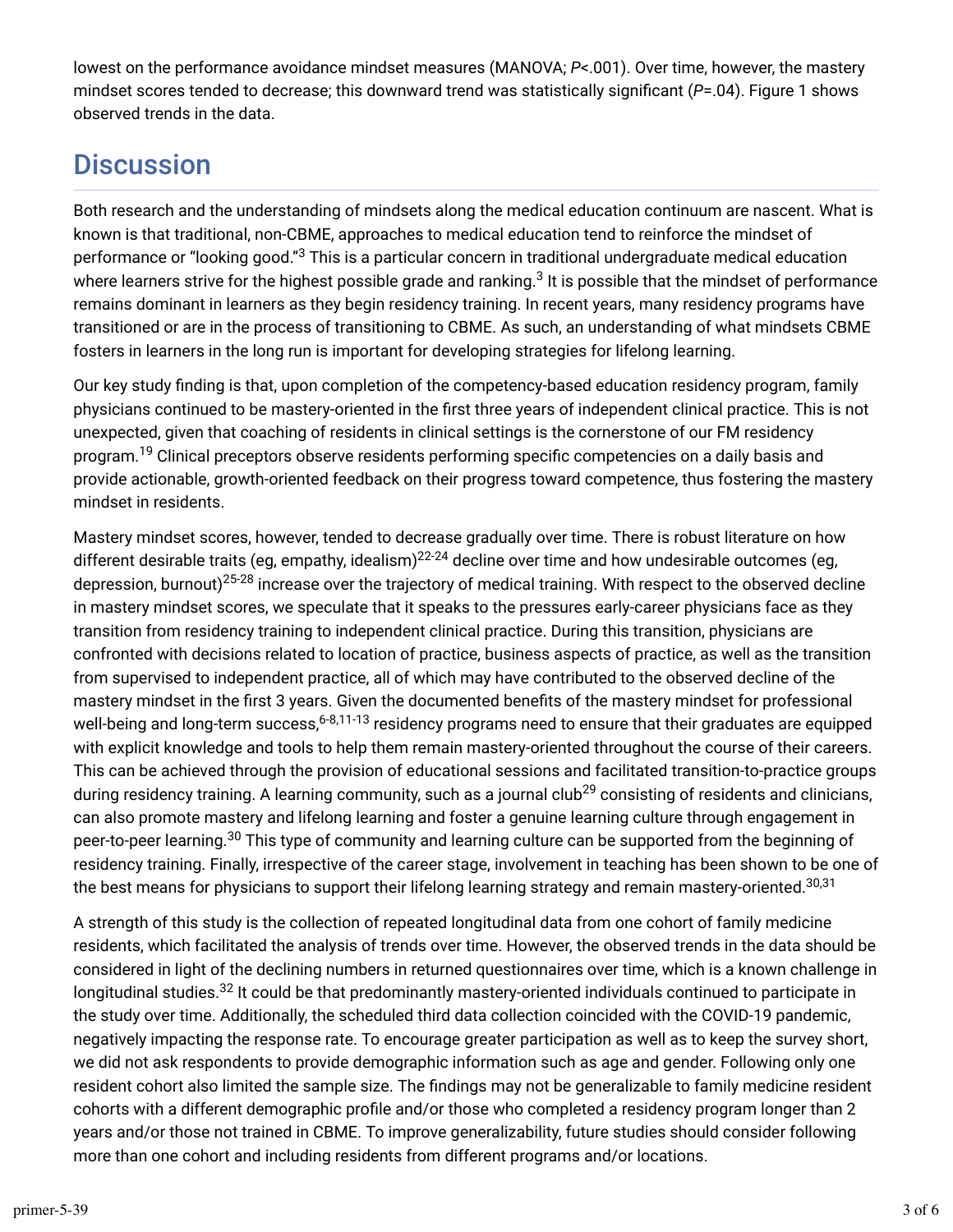lowest on the performance avoidance mindset measures (MANOVA; *P*<.001). Over time, however, the mastery mindset scores tended to decrease; this downward trend was statistically significant (*P*=.04). Figure 1 shows observed trends in the data.

# **Discussion**

Both research and the understanding of mindsets along the medical education continuum are nascent. What is known is that traditional, non-CBME, approaches to medical education tend to reinforce the mindset of performance or "looking good."<sup>3</sup> This is a particular concern in traditional undergraduate medical education where learners strive for the highest possible grade and ranking. $^3$  It is possible that the mindset of performance remains dominant in learners as they begin residency training. In recent years, many residency programs have transitioned or are in the process of transitioning to CBME. As such, an understanding of what mindsets CBME fosters in learners in the long run is important for developing strategies for lifelong learning.

Our key study finding is that, upon completion of the competency-based education residency program, family physicians continued to be mastery-oriented in the first three years of independent clinical practice. This is not unexpected, given that coaching of residents in clinical settings is the cornerstone of our FM residency program.<sup>19</sup> Clinical preceptors observe residents performing specific competencies on a daily basis and provide actionable, growth-oriented feedback on their progress toward competence, thus fostering the mastery mindset in residents.

Mastery mindset scores, however, tended to decrease gradually over time. There is robust literature on how different desirable traits (eg, empathy, idealism) $^{22\text{-}24}$  decline over time and how undesirable outcomes (eg, depression, burnout)<sup>25-28</sup> increase over the trajectory of medical training. With respect to the observed decline in mastery mindset scores, we speculate that it speaks to the pressures early-career physicians face as they transition from residency training to independent clinical practice. During this transition, physicians are confronted with decisions related to location of practice, business aspects of practice, as well as the transition from supervised to independent practice, all of which may have contributed to the observed decline of the mastery mindset in the first 3 years. Given the documented benefits of the mastery mindset for professional well-being and long-term success,<sup>6-8,11-13</sup> residency programs need to ensure that their graduates are equipped with explicit knowledge and tools to help them remain mastery-oriented throughout the course of their careers. This can be achieved through the provision of educational sessions and facilitated transition-to-practice groups during residency training. A learning community, such as a journal club<sup>29</sup> consisting of residents and clinicians, can also promote mastery and lifelong learning and foster a genuine learning culture through engagement in peer-to-peer learning.<sup>30</sup> This type of community and learning culture can be supported from the beginning of residency training. Finally, irrespective of the career stage, involvement in teaching has been shown to be one of the best means for physicians to support their lifelong learning strategy and remain mastery-oriented.<sup>30,31</sup>

A strength of this study is the collection of repeated longitudinal data from one cohort of family medicine residents, which facilitated the analysis of trends over time. However, the observed trends in the data should be considered in light of the declining numbers in returned questionnaires over time, which is a known challenge in longitudinal studies.<sup>32</sup> It could be that predominantly mastery-oriented individuals continued to participate in the study over time. Additionally, the scheduled third data collection coincided with the COVID-19 pandemic, negatively impacting the response rate. To encourage greater participation as well as to keep the survey short, we did not ask respondents to provide demographic information such as age and gender. Following only one resident cohort also limited the sample size. The findings may not be generalizable to family medicine resident cohorts with a different demographic profile and/or those who completed a residency program longer than 2 years and/or those not trained in CBME. To improve generalizability, future studies should consider following more than one cohort and including residents from different programs and/or locations.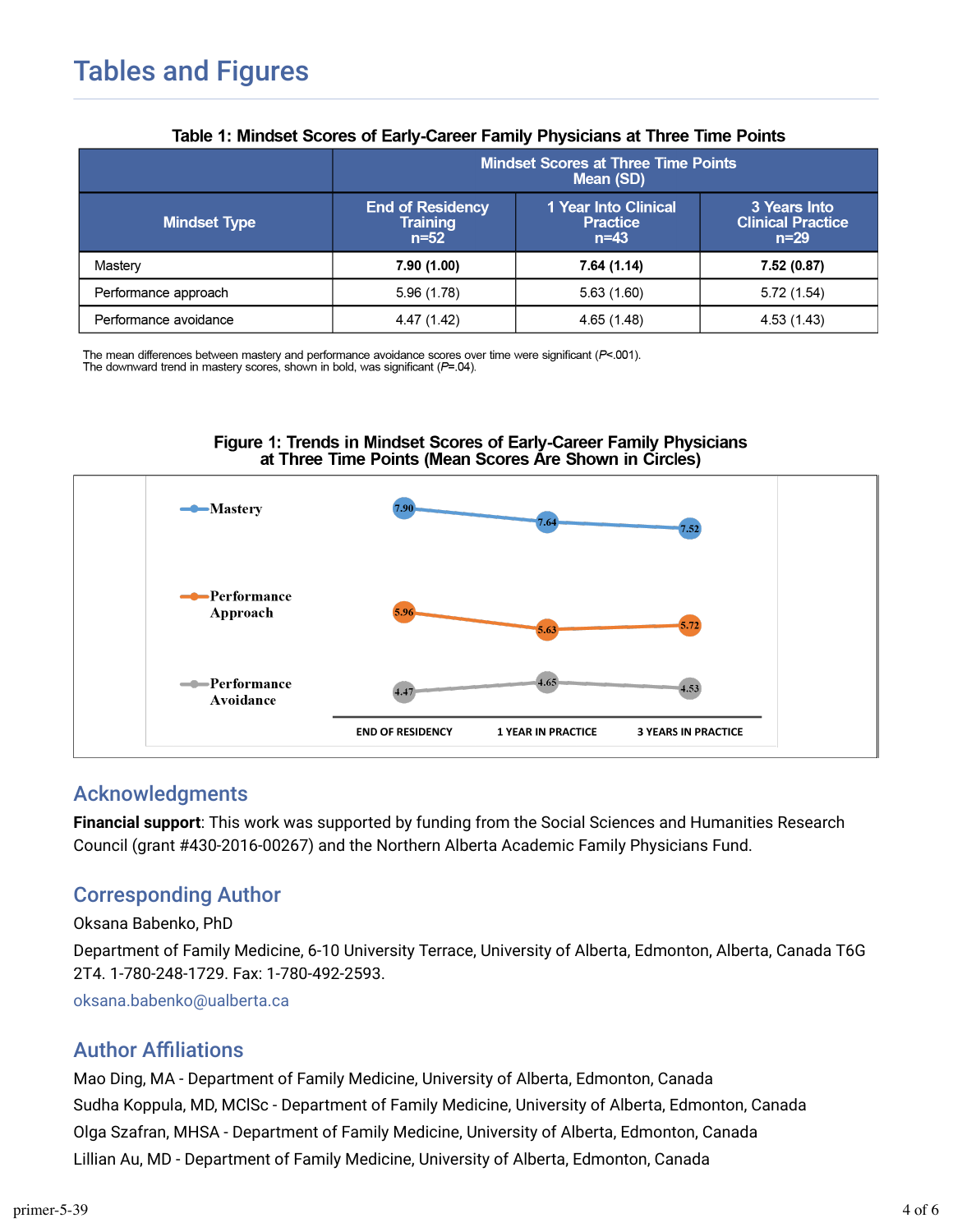| Table T. Millioset Occits of Larry-Career Family Frivalcians at Three Time Follits |                                                         |                                                            |                                                    |
|------------------------------------------------------------------------------------|---------------------------------------------------------|------------------------------------------------------------|----------------------------------------------------|
|                                                                                    | <b>Mindset Scores at Three Time Points</b><br>Mean (SD) |                                                            |                                                    |
| <b>Mindset Type</b>                                                                | <b>End of Residency</b><br><b>Training</b><br>$n = 52$  | <b>1 Year Into Clinical</b><br><b>Practice</b><br>$n = 43$ | 3 Years Into<br><b>Clinical Practice</b><br>$n=29$ |
| Mastery                                                                            | 7.90 (1.00)                                             | 7.64 (1.14)                                                | 7.52 (0.87)                                        |
| Performance approach                                                               | 5.96(1.78)                                              | 5.63(1.60)                                                 | 5.72(1.54)                                         |
| Performance avoidance                                                              | 4.47 (1.42)                                             | 4.65 (1.48)                                                | 4.53 (1.43)                                        |

#### Table 1: Mindeet Scores of Early Career Family Physicians at Three Time Points

The mean differences between mastery and performance avoidance scores over time were significant ( $P$ <.001). The downward trend in mastery scores, shown in bold, was significant ( $P$ =.04).





### Acknowledgments

**Financial support**: This work was supported by funding from the Social Sciences and Humanities Research Council (grant #430-2016-00267) and the Northern Alberta Academic Family Physicians Fund.

### Corresponding Author

Oksana Babenko, PhD

Department of Family Medicine, 6-10 University Terrace, University of Alberta, Edmonton, Alberta, Canada T6G 2T4. 1-780-248-1729. Fax: 1-780-492-2593.

[oksana.babenko@ualberta.ca](mailto:oksana.babenko@ualberta.ca)

### **Author Affiliations**

Mao Ding, MA - Department of Family Medicine, University of Alberta, Edmonton, Canada Sudha Koppula, MD, MClSc - Department of Family Medicine, University of Alberta, Edmonton, Canada Olga Szafran, MHSA - Department of Family Medicine, University of Alberta, Edmonton, Canada Lillian Au, MD - Department of Family Medicine, University of Alberta, Edmonton, Canada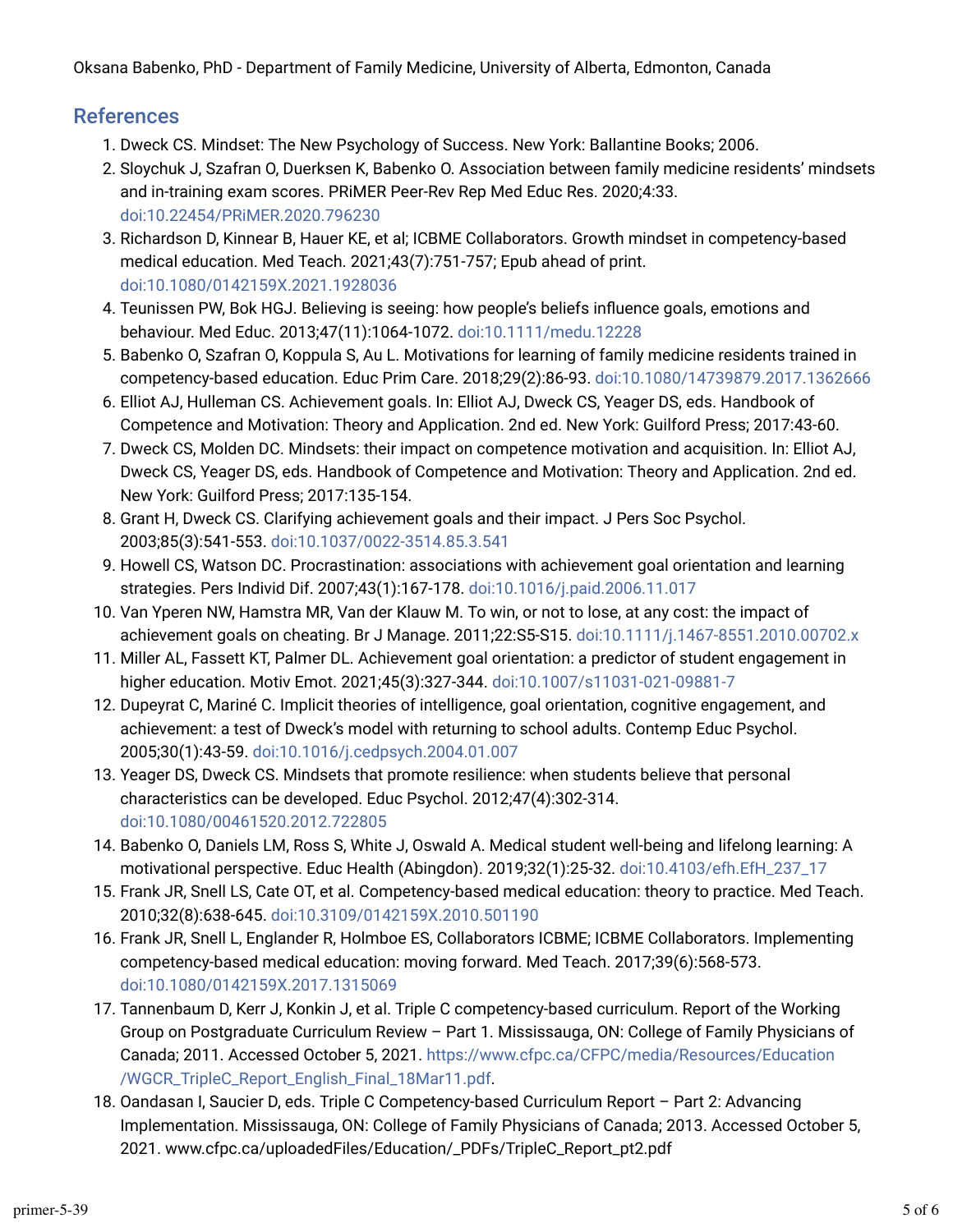Oksana Babenko, PhD - Department of Family Medicine, University of Alberta, Edmonton, Canada

#### References

- 1. Dweck CS. Mindset: The New Psychology of Success. New York: Ballantine Books; 2006.
- 2. Sloychuk J, Szafran O, Duerksen K, Babenko O. Association between family medicine residents' mindsets and in-training exam scores. PRiMER Peer-Rev Rep Med Educ Res. 2020;4:33. [doi:10.22454/PRiMER.2020.796230](https://doi.org/10.22454/PRiMER.2020.796230)
- 3. Richardson D, Kinnear B, Hauer KE, et al; ICBME Collaborators. Growth mindset in competency-based medical education. Med Teach. 2021;43(7):751-757; Epub ahead of print. [doi:10.1080/0142159X.2021.1928036](https://doi.org/10.1080/0142159X.2021.1928036)
- 4. Teunissen PW, Bok HGJ. Believing is seeing: how people's beliefs influence goals, emotions and behaviour. Med Educ. 2013;47(11):1064-1072. [doi:10.1111/medu.12228](https://doi.org/10.1111/medu.12228)
- 5. Babenko O, Szafran O, Koppula S, Au L. Motivations for learning of family medicine residents trained in competency-based education. Educ Prim Care. 2018;29(2):86-93. [doi:10.1080/14739879.2017.1362666](https://doi.org/10.1080/14739879.2017.1362666)
- 6. Elliot AJ, Hulleman CS. Achievement goals. In: Elliot AJ, Dweck CS, Yeager DS, eds. Handbook of Competence and Motivation: Theory and Application. 2nd ed. New York: Guilford Press; 2017:43-60.
- 7. Dweck CS, Molden DC. Mindsets: their impact on competence motivation and acquisition. In: Elliot AJ, Dweck CS, Yeager DS, eds. Handbook of Competence and Motivation: Theory and Application. 2nd ed. New York: Guilford Press; 2017:135-154.
- 8. Grant H, Dweck CS. Clarifying achievement goals and their impact. J Pers Soc Psychol. 2003;85(3):541-553. [doi:10.1037/0022-3514.85.3.541](https://doi.org/10.1037/0022-3514.85.3.541)
- 9. Howell CS, Watson DC. Procrastination: associations with achievement goal orientation and learning strategies. Pers Individ Dif. 2007;43(1):167-178. [doi:10.1016/j.paid.2006.11.017](https://doi.org/10.1016/j.paid.2006.11.017)
- 10. Van Yperen NW, Hamstra MR, Van der Klauw M. To win, or not to lose, at any cost: the impact of achievement goals on cheating. Br J Manage. 2011;22:S5-S15. [doi:10.1111/j.1467-8551.2010.00702.x](https://doi.org/10.1111/j.1467-8551.2010.00702.x)
- 11. Miller AL, Fassett KT, Palmer DL. Achievement goal orientation: a predictor of student engagement in higher education. Motiv Emot. 2021;45(3):327-344. [doi:10.1007/s11031-021-09881-7](https://doi.org/10.1007/s11031-021-09881-7)
- 12. Dupeyrat C, Mariné C. Implicit theories of intelligence, goal orientation, cognitive engagement, and achievement: a test of Dweck's model with returning to school adults. Contemp Educ Psychol. 2005;30(1):43-59. [doi:10.1016/j.cedpsych.2004.01.007](https://doi.org/10.1016/j.cedpsych.2004.01.007)
- 13. Yeager DS, Dweck CS. Mindsets that promote resilience: when students believe that personal characteristics can be developed. Educ Psychol. 2012;47(4):302-314. [doi:10.1080/00461520.2012.722805](https://doi.org/10.1080/00461520.2012.722805)
- 14. Babenko O, Daniels LM, Ross S, White J, Oswald A. Medical student well-being and lifelong learning: A motivational perspective. Educ Health (Abingdon). 2019;32(1):25-32. [doi:10.4103/efh.EfH\\_237\\_17](https://doi.org/10.4103/efh.EfH_237_17)
- 15. Frank JR, Snell LS, Cate OT, et al. Competency-based medical education: theory to practice. Med Teach. 2010;32(8):638-645. [doi:10.3109/0142159X.2010.501190](https://doi.org/10.3109/0142159X.2010.501190)
- 1q. Frank JR, Snell L, Englander R, Holmboe ES, Collaborators ICBME; ICBME Collaborators. Implementing competency-based medical education: moving forward. Med Teach. 2017;39(6):568-573. [doi:10.1080/0142159X.2017.1315069](https://doi.org/10.1080/0142159X.2017.1315069)
- 17. Tannenbaum D, Kerr J, Konkin J, et al. Triple C competency-based curriculum. Report of the Working Group on Postgraduate Curriculum Review – Part 1. Mississauga, ON: College of Family Physicians of Canada; 2011. Accessed October 5, 2021. [https://www.cfpc.ca/CFPC/media/Resources/Education](https://www.cfpc.ca/CFPC/media/Resources/Education/WGCR_TripleC_Report_English_Final_18Mar11.pdf) [/WGCR\\_TripleC\\_Report\\_English\\_Final\\_18Mar11.pdf.](https://www.cfpc.ca/CFPC/media/Resources/Education/WGCR_TripleC_Report_English_Final_18Mar11.pdf)
- 18. Oandasan I, Saucier D, eds. Triple C Competency-based Curriculum Report Part 2: Advancing Implementation. Mississauga, ON: College of Family Physicians of Canada; 2013. Accessed October 5, 2021. www.cfpc.ca/uploadedFiles/Education/\_PDFs/TripleC\_Report\_pt2.pdf